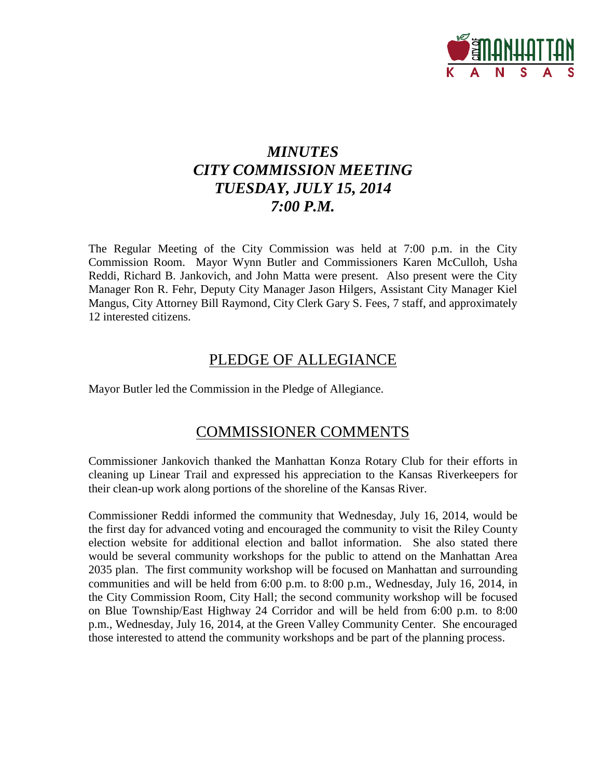

# *MINUTES CITY COMMISSION MEETING TUESDAY, JULY 15, 2014 7:00 P.M.*

The Regular Meeting of the City Commission was held at 7:00 p.m. in the City Commission Room. Mayor Wynn Butler and Commissioners Karen McCulloh, Usha Reddi, Richard B. Jankovich, and John Matta were present. Also present were the City Manager Ron R. Fehr, Deputy City Manager Jason Hilgers, Assistant City Manager Kiel Mangus, City Attorney Bill Raymond, City Clerk Gary S. Fees, 7 staff, and approximately 12 interested citizens.

## PLEDGE OF ALLEGIANCE

Mayor Butler led the Commission in the Pledge of Allegiance.

## COMMISSIONER COMMENTS

Commissioner Jankovich thanked the Manhattan Konza Rotary Club for their efforts in cleaning up Linear Trail and expressed his appreciation to the Kansas Riverkeepers for their clean-up work along portions of the shoreline of the Kansas River.

Commissioner Reddi informed the community that Wednesday, July 16, 2014, would be the first day for advanced voting and encouraged the community to visit the Riley County election website for additional election and ballot information. She also stated there would be several community workshops for the public to attend on the Manhattan Area 2035 plan. The first community workshop will be focused on Manhattan and surrounding communities and will be held from 6:00 p.m. to 8:00 p.m., Wednesday, July 16, 2014, in the City Commission Room, City Hall; the second community workshop will be focused on Blue Township/East Highway 24 Corridor and will be held from 6:00 p.m. to 8:00 p.m., Wednesday, July 16, 2014, at the Green Valley Community Center. She encouraged those interested to attend the community workshops and be part of the planning process.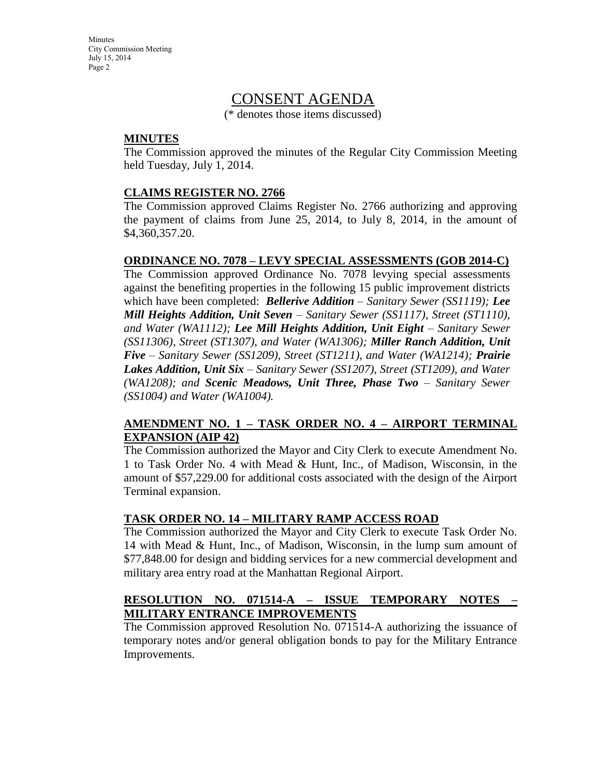**Minutes** City Commission Meeting July 15, 2014 Page 2

## CONSENT AGENDA

(\* denotes those items discussed)

#### **MINUTES**

The Commission approved the minutes of the Regular City Commission Meeting held Tuesday, July 1, 2014.

#### **CLAIMS REGISTER NO. 2766**

The Commission approved Claims Register No. 2766 authorizing and approving the payment of claims from June 25, 2014, to July 8, 2014, in the amount of \$4,360,357.20.

#### **ORDINANCE NO. 7078 – LEVY SPECIAL ASSESSMENTS (GOB 2014-C)**

The Commission approved Ordinance No. 7078 levying special assessments against the benefiting properties in the following 15 public improvement districts which have been completed: *Bellerive Addition – Sanitary Sewer (SS1119); Lee Mill Heights Addition, Unit Seven – Sanitary Sewer (SS1117), Street (ST1110), and Water (WA1112); Lee Mill Heights Addition, Unit Eight – Sanitary Sewer (SS11306), Street (ST1307), and Water (WA1306); Miller Ranch Addition, Unit Five – Sanitary Sewer (SS1209), Street (ST1211), and Water (WA1214); Prairie Lakes Addition, Unit Six – Sanitary Sewer (SS1207), Street (ST1209), and Water (WA1208); and Scenic Meadows, Unit Three, Phase Two – Sanitary Sewer (SS1004) and Water (WA1004).*

#### **AMENDMENT NO. 1 – TASK ORDER NO. 4 – AIRPORT TERMINAL EXPANSION (AIP 42)**

The Commission authorized the Mayor and City Clerk to execute Amendment No. 1 to Task Order No. 4 with Mead & Hunt, Inc., of Madison, Wisconsin, in the amount of \$57,229.00 for additional costs associated with the design of the Airport Terminal expansion.

#### **TASK ORDER NO. 14 – MILITARY RAMP ACCESS ROAD**

The Commission authorized the Mayor and City Clerk to execute Task Order No. 14 with Mead & Hunt, Inc., of Madison, Wisconsin, in the lump sum amount of \$77,848.00 for design and bidding services for a new commercial development and military area entry road at the Manhattan Regional Airport.

#### **RESOLUTION NO. 071514-A – ISSUE TEMPORARY NOTES – MILITARY ENTRANCE IMPROVEMENTS**

The Commission approved Resolution No. 071514-A authorizing the issuance of temporary notes and/or general obligation bonds to pay for the Military Entrance Improvements.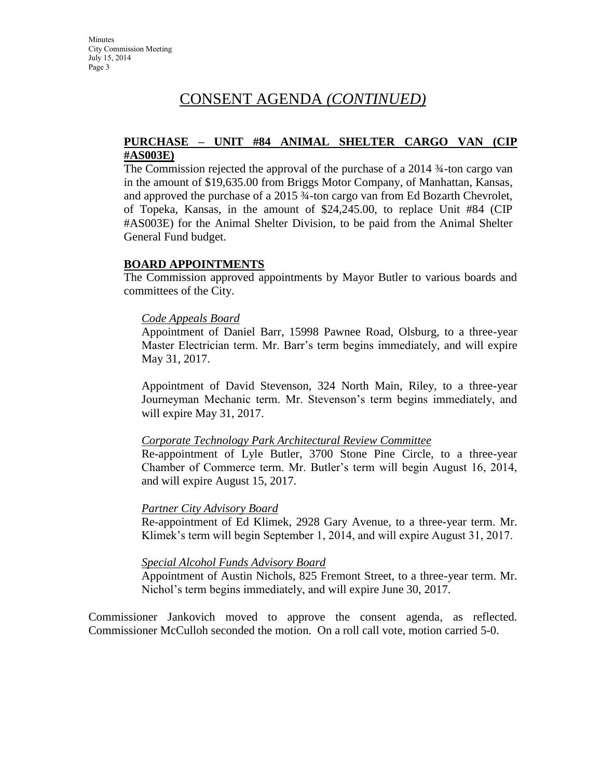# CONSENT AGENDA *(CONTINUED)*

#### **PURCHASE – UNIT #84 ANIMAL SHELTER CARGO VAN (CIP #AS003E)**

The Commission rejected the approval of the purchase of a 2014 ¾-ton cargo van in the amount of \$19,635.00 from Briggs Motor Company, of Manhattan, Kansas, and approved the purchase of a 2015 ¾-ton cargo van from Ed Bozarth Chevrolet, of Topeka, Kansas, in the amount of \$24,245.00, to replace Unit #84 (CIP #AS003E) for the Animal Shelter Division, to be paid from the Animal Shelter General Fund budget.

#### **BOARD APPOINTMENTS**

The Commission approved appointments by Mayor Butler to various boards and committees of the City.

#### *Code Appeals Board*

Appointment of Daniel Barr, 15998 Pawnee Road, Olsburg, to a three-year Master Electrician term. Mr. Barr's term begins immediately, and will expire May 31, 2017.

Appointment of David Stevenson, 324 North Main, Riley, to a three-year Journeyman Mechanic term. Mr. Stevenson's term begins immediately, and will expire May 31, 2017.

#### *Corporate Technology Park Architectural Review Committee*

Re-appointment of Lyle Butler, 3700 Stone Pine Circle, to a three-year Chamber of Commerce term. Mr. Butler's term will begin August 16, 2014, and will expire August 15, 2017.

#### *Partner City Advisory Board*

Re-appointment of Ed Klimek, 2928 Gary Avenue, to a three-year term. Mr. Klimek's term will begin September 1, 2014, and will expire August 31, 2017.

#### *Special Alcohol Funds Advisory Board*

Appointment of Austin Nichols, 825 Fremont Street, to a three-year term. Mr. Nichol's term begins immediately, and will expire June 30, 2017.

Commissioner Jankovich moved to approve the consent agenda, as reflected. Commissioner McCulloh seconded the motion. On a roll call vote, motion carried 5-0.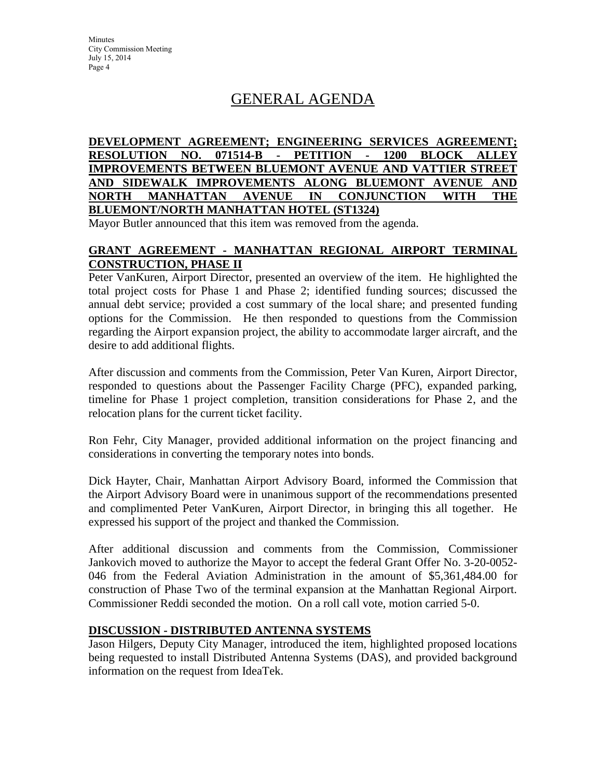**Minutes** City Commission Meeting July 15, 2014 Page 4

# GENERAL AGENDA

#### **DEVELOPMENT AGREEMENT; ENGINEERING SERVICES AGREEMENT; RESOLUTION NO. 071514-B - PETITION - 1200 BLOCK ALLEY IMPROVEMENTS BETWEEN BLUEMONT AVENUE AND VATTIER STREET AND SIDEWALK IMPROVEMENTS ALONG BLUEMONT AVENUE AND NORTH MANHATTAN AVENUE IN CONJUNCTION WITH THE BLUEMONT/NORTH MANHATTAN HOTEL (ST1324)**

Mayor Butler announced that this item was removed from the agenda.

#### **GRANT AGREEMENT - MANHATTAN REGIONAL AIRPORT TERMINAL CONSTRUCTION, PHASE II**

Peter VanKuren, Airport Director, presented an overview of the item. He highlighted the total project costs for Phase 1 and Phase 2; identified funding sources; discussed the annual debt service; provided a cost summary of the local share; and presented funding options for the Commission. He then responded to questions from the Commission regarding the Airport expansion project, the ability to accommodate larger aircraft, and the desire to add additional flights.

After discussion and comments from the Commission, Peter Van Kuren, Airport Director, responded to questions about the Passenger Facility Charge (PFC), expanded parking, timeline for Phase 1 project completion, transition considerations for Phase 2, and the relocation plans for the current ticket facility.

Ron Fehr, City Manager, provided additional information on the project financing and considerations in converting the temporary notes into bonds.

Dick Hayter, Chair, Manhattan Airport Advisory Board, informed the Commission that the Airport Advisory Board were in unanimous support of the recommendations presented and complimented Peter VanKuren, Airport Director, in bringing this all together. He expressed his support of the project and thanked the Commission.

After additional discussion and comments from the Commission, Commissioner Jankovich moved to authorize the Mayor to accept the federal Grant Offer No. 3-20-0052- 046 from the Federal Aviation Administration in the amount of \$5,361,484.00 for construction of Phase Two of the terminal expansion at the Manhattan Regional Airport. Commissioner Reddi seconded the motion. On a roll call vote, motion carried 5-0.

#### **DISCUSSION - DISTRIBUTED ANTENNA SYSTEMS**

Jason Hilgers, Deputy City Manager, introduced the item, highlighted proposed locations being requested to install Distributed Antenna Systems (DAS), and provided background information on the request from IdeaTek.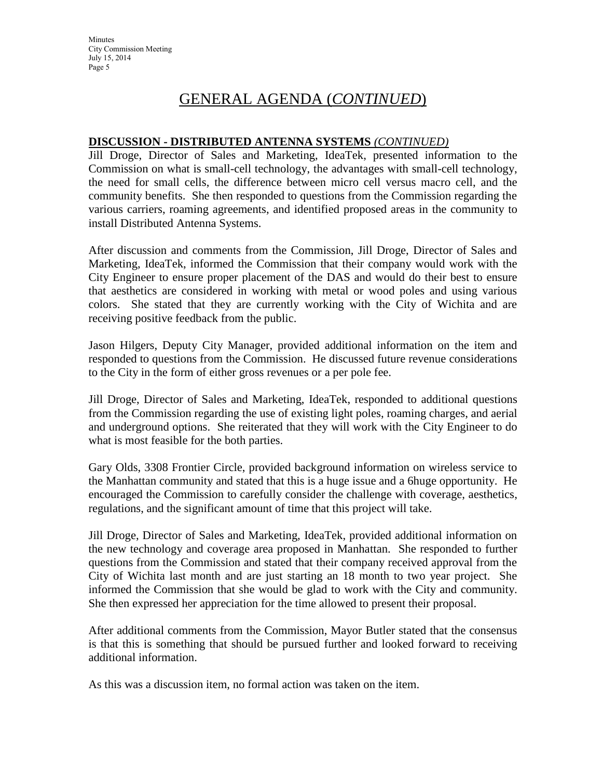# GENERAL AGENDA (*CONTINUED*)

### **DISCUSSION - DISTRIBUTED ANTENNA SYSTEMS** *(CONTINUED)*

Jill Droge, Director of Sales and Marketing, IdeaTek, presented information to the Commission on what is small-cell technology, the advantages with small-cell technology, the need for small cells, the difference between micro cell versus macro cell, and the community benefits. She then responded to questions from the Commission regarding the various carriers, roaming agreements, and identified proposed areas in the community to install Distributed Antenna Systems.

After discussion and comments from the Commission, Jill Droge, Director of Sales and Marketing, IdeaTek, informed the Commission that their company would work with the City Engineer to ensure proper placement of the DAS and would do their best to ensure that aesthetics are considered in working with metal or wood poles and using various colors. She stated that they are currently working with the City of Wichita and are receiving positive feedback from the public.

Jason Hilgers, Deputy City Manager, provided additional information on the item and responded to questions from the Commission. He discussed future revenue considerations to the City in the form of either gross revenues or a per pole fee.

Jill Droge, Director of Sales and Marketing, IdeaTek, responded to additional questions from the Commission regarding the use of existing light poles, roaming charges, and aerial and underground options. She reiterated that they will work with the City Engineer to do what is most feasible for the both parties.

Gary Olds, 3308 Frontier Circle, provided background information on wireless service to the Manhattan community and stated that this is a huge issue and a 6huge opportunity. He encouraged the Commission to carefully consider the challenge with coverage, aesthetics, regulations, and the significant amount of time that this project will take.

Jill Droge, Director of Sales and Marketing, IdeaTek, provided additional information on the new technology and coverage area proposed in Manhattan. She responded to further questions from the Commission and stated that their company received approval from the City of Wichita last month and are just starting an 18 month to two year project. She informed the Commission that she would be glad to work with the City and community. She then expressed her appreciation for the time allowed to present their proposal.

After additional comments from the Commission, Mayor Butler stated that the consensus is that this is something that should be pursued further and looked forward to receiving additional information.

As this was a discussion item, no formal action was taken on the item.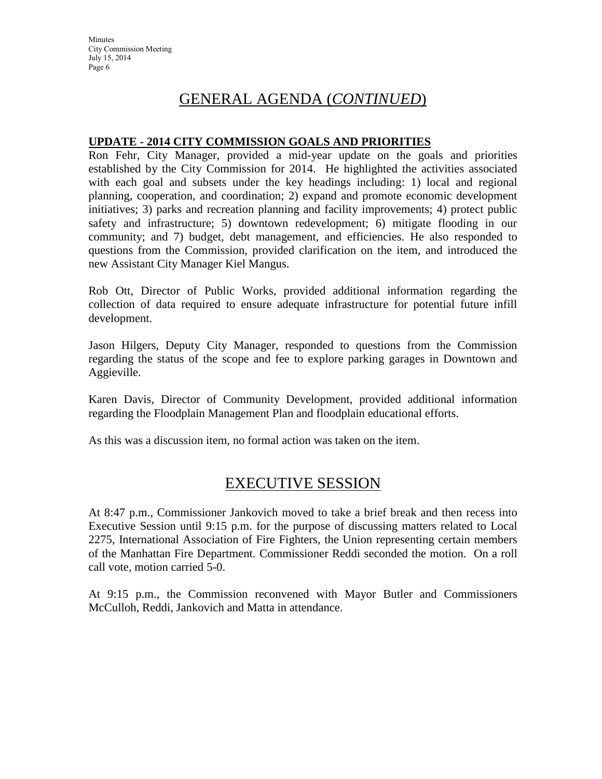**Minutes** City Commission Meeting July 15, 2014 Page 6

## GENERAL AGENDA (*CONTINUED*)

#### **UPDATE - 2014 CITY COMMISSION GOALS AND PRIORITIES**

Ron Fehr, City Manager, provided a mid-year update on the goals and priorities established by the City Commission for 2014. He highlighted the activities associated with each goal and subsets under the key headings including: 1) local and regional planning, cooperation, and coordination; 2) expand and promote economic development initiatives; 3) parks and recreation planning and facility improvements; 4) protect public safety and infrastructure; 5) downtown redevelopment; 6) mitigate flooding in our community; and 7) budget, debt management, and efficiencies. He also responded to questions from the Commission, provided clarification on the item, and introduced the new Assistant City Manager Kiel Mangus.

Rob Ott, Director of Public Works, provided additional information regarding the collection of data required to ensure adequate infrastructure for potential future infill development.

Jason Hilgers, Deputy City Manager, responded to questions from the Commission regarding the status of the scope and fee to explore parking garages in Downtown and Aggieville.

Karen Davis, Director of Community Development, provided additional information regarding the Floodplain Management Plan and floodplain educational efforts.

As this was a discussion item, no formal action was taken on the item.

## EXECUTIVE SESSION

At 8:47 p.m., Commissioner Jankovich moved to take a brief break and then recess into Executive Session until 9:15 p.m. for the purpose of discussing matters related to Local 2275, International Association of Fire Fighters, the Union representing certain members of the Manhattan Fire Department. Commissioner Reddi seconded the motion. On a roll call vote, motion carried 5-0.

At 9:15 p.m., the Commission reconvened with Mayor Butler and Commissioners McCulloh, Reddi, Jankovich and Matta in attendance.